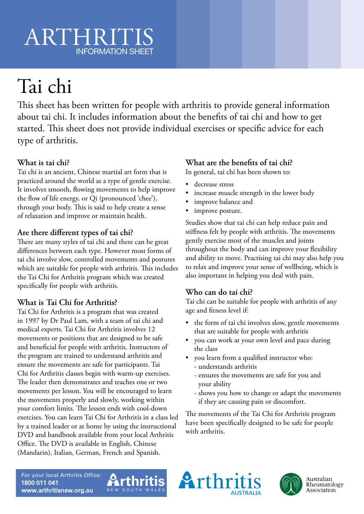# ARTHRITIS INFORMATION SHEET

# Tai chi

This sheet has been written for people with arthritis to provide general information about tai chi. It includes information about the benefits of tai chi and how to get started. This sheet does not provide individual exercises or specific advice for each type of arthritis.

## **What is tai chi?**

Tai chi is an ancient, Chinese martial art form that is practiced around the world as a type of gentle exercise. It involves smooth, flowing movements to help improve the flow of life energy, or Qi (pronounced 'chee'), through your body. This is said to help create a sense of relaxation and improve or maintain health.

#### **Are there different types of tai chi?**

There are many styles of tai chi and there can be great differences between each type. However most forms of tai chi involve slow, controlled movements and postures which are suitable for people with arthritis. This includes the Tai Chi for Arthritis program which was created specifically for people with arthritis.

### **What is Tai Chi for Arthritis?**

Tai Chi for Arthritis is a program that was created in 1997 by Dr Paul Lam, with a team of tai chi and medical experts. Tai Chi for Arthritis involves 12 movements or positions that are designed to be safe and beneficial for people with arthritis. Instructors of the program are trained to understand arthritis and ensure the movements are safe for participants. Tai Chi for Arthritis classes begin with warm-up exercises. The leader then demonstrates and teaches one or two movements per lesson. You will be encouraged to learn the movements properly and slowly, working within your comfort limits. The lesson ends with cool-down exercises. You can learn Tai Chi for Arthritis in a class led by a trained leader or at home by using the instructional DVD and handbook available from your local Arthritis Office. The DVD is available in English, Chinese (Mandarin), Italian, German, French and Spanish.

#### **What are the benefits of tai chi?**

In general, tai chi has been shown to:

- decrease stress
- increase muscle strength in the lower body
- improve balance and
- improve posture.

Studies show that tai chi can help reduce pain and stiffness felt by people with arthritis. The movements gently exercise most of the muscles and joints throughout the body and can improve your flexibility and ability to move. Practising tai chi may also help you to relax and improve your sense of wellbeing, which is also important in helping you deal with pain.

#### **Who can do tai chi?**

Tai chi can be suitable for people with arthritis of any age and fitness level if:

- the form of tai chi involves slow, gentle movements that are suitable for people with arthritis
- you can work at your own level and pace during the class
- you learn from a qualified instructor who:
	- understands arthritis
	- ensures the movements are safe for you and your ability
	- shows you how to change or adapt the movements if they are causing pain or discomfort.

The movements of the Tai Chi for Arthritis program have been specifically designed to be safe for people with arthritis.